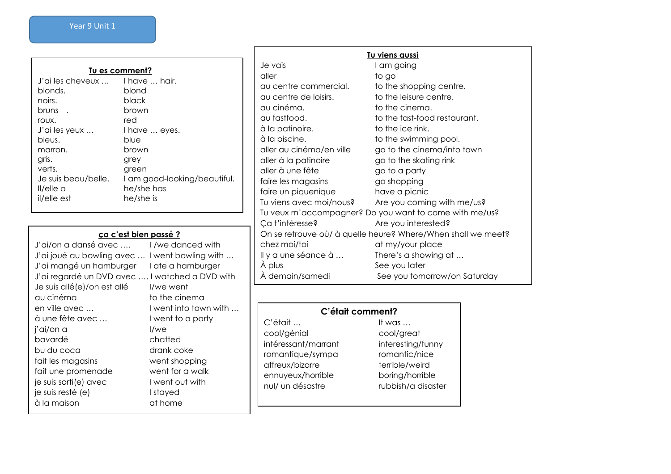| Tu es comment?      |                              |  |  |
|---------------------|------------------------------|--|--|
| J'ai les cheveux    | I have  hair.                |  |  |
| blonds.             | blond                        |  |  |
| noirs.              | black                        |  |  |
| bruns.              | brown                        |  |  |
| roux.               | red                          |  |  |
| J'ai les yeux       | I have  eyes.                |  |  |
| bleus.              | blue                         |  |  |
| marron.             | brown                        |  |  |
| gris.               | grey                         |  |  |
| verts.              | green                        |  |  |
| Je suis beau/belle. | I am good-looking/beautiful. |  |  |
| II/elle a           | he/she has                   |  |  |
| il/elle est         | he/she is                    |  |  |

# **ça c'est bien passé ?**

| J'ai/on a dansé avec                           | I /we danced with     |
|------------------------------------------------|-----------------------|
| J'ai joué au bowling avec                      | I went bowling with   |
| J'ai mangé un hamburger                        | I ate a hamburger     |
| J'ai regardé un DVD avec  I watched a DVD with |                       |
| Je suis allé(e)/on est allé                    | I/we went             |
| au cinéma                                      | to the cinema         |
| en ville avec                                  | I went into town with |
| à une fête avec                                | I went to a party     |
| j'ai/on a                                      | l/we                  |
| bavardé                                        | chatted               |
| bu du coca                                     | drank coke            |
| fait les magasins                              | went shopping         |
| fait une promenade                             | went for a walk       |
| je suis sorti(e) avec                          | I went out with       |
| je suis resté (e)                              | I stayed              |
| à la maison                                    | at home               |
|                                                |                       |

| Tu viens aussi                                               |                              |  |  |
|--------------------------------------------------------------|------------------------------|--|--|
| Je vais                                                      | I am going                   |  |  |
| aller                                                        | to go                        |  |  |
| au centre commercial.                                        | to the shopping centre.      |  |  |
| au centre de loisirs.                                        | to the leisure centre.       |  |  |
| au cinéma.                                                   | to the cinema.               |  |  |
| au fastfood.                                                 | to the fast-food restaurant. |  |  |
| à la patinoire.                                              | to the ice rink.             |  |  |
| à la piscine.                                                | to the swimming pool.        |  |  |
| aller au cinéma/en ville                                     | go to the cinema/into town   |  |  |
| aller à la patinoire                                         | go to the skating rink       |  |  |
| aller à une fête                                             | go to a party                |  |  |
| faire les magasins                                           | go shopping                  |  |  |
| faire un piquenique                                          | have a picnic                |  |  |
| Tu viens avec moi/nous?                                      | Are you coming with me/us?   |  |  |
| Tu veux m'accompagner? Do you want to come with me/us?       |                              |  |  |
| Ça t'intéresse?                                              | Are you interested?          |  |  |
| On se retrouve où/ à quelle heure? Where/When shall we meet? |                              |  |  |
| chez moi/toi                                                 | at my/your place             |  |  |
| Il y a une séance à                                          | There's a showing at         |  |  |
| A plus                                                       | See you later                |  |  |
| À demain/samedi                                              | See you tomorrow/on Saturday |  |  |

| C'était comment?    |                    |  |
|---------------------|--------------------|--|
| C'était             | It was $\ldots$    |  |
| cool/génial         | cool/great         |  |
| intéressant/marrant | interesting/funny  |  |
| romantique/sympa    | romantic/nice      |  |
| affreux/bizarre     | terrible/weird     |  |
| ennuyeux/horrible   | boring/horrible    |  |
| nul/ un désastre    | rubbish/a disaster |  |
|                     |                    |  |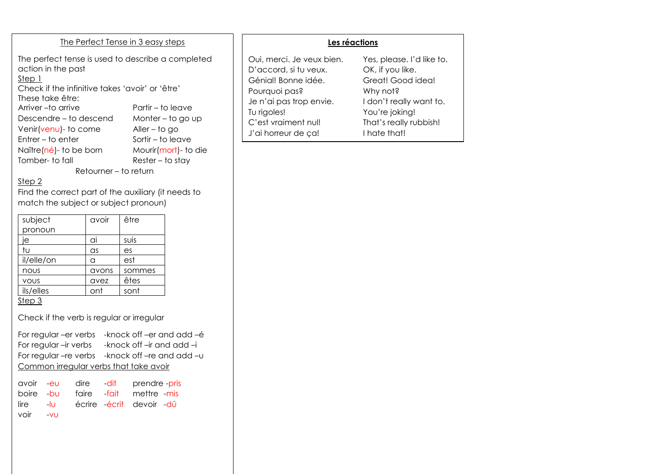#### The Perfect Tense in 3 easy steps

The perfect tense is used to describe a completed action in the past Step 1 Check if the infinitive takes 'avoir' or 'être'

These take être: Arriver – to arrive Partir – to leave Descendre – to descend Monter – to go up Venir(venu)- to come Aller – to go Entrer – to enter Sortir – to leave Naître(né)- to be born Mourir(mort)- to die Tomber- to fall Rester – to stay

Retourner – to return

### Step 2

Find the correct part of the auxiliary (it needs to match the subject or subject pronoun)

| subject     | avoir      | être   |
|-------------|------------|--------|
| pronoun     |            |        |
| ie          | ai         | suis   |
| tu          | $\alpha$ s | es     |
| il/elle/on  | a          | est    |
| nous        | avons      | sommes |
| <b>VOUS</b> | avez       | êtes   |
| ils/elles   | ont        | sont   |
| Step 3      |            |        |

Check if the verb is regular or irregular

For regular –er verbs -knock off –er and add –é For regular –ir verbs -knock off –ir and add –i For regular –re verbs -knock off –re and add –u Common irregular verbs that take avoir

|          |  | avoir -eu dire -dit prendre-pris  |
|----------|--|-----------------------------------|
|          |  | boire -bu faire -fait mettre -mis |
|          |  | lire -lu écrire écrit devoir dû   |
| voir -vu |  |                                   |

|--|

| Oui, merci. Je veux bien. | Yes, please. I'd like to. |
|---------------------------|---------------------------|
| D'accord, si tu veux.     | OK, if you like.          |
| Génial! Bonne idée.       | Great! Good idea!         |
| Pourquoi pas?             | Why not?                  |
| Je n'ai pas trop envie.   | I don't really want to.   |
| Tu rigoles!               | You're joking!            |
| C'est vraiment nul!       | That's really rubbish!    |
| J'ai horreur de ça!       | I hate that!              |